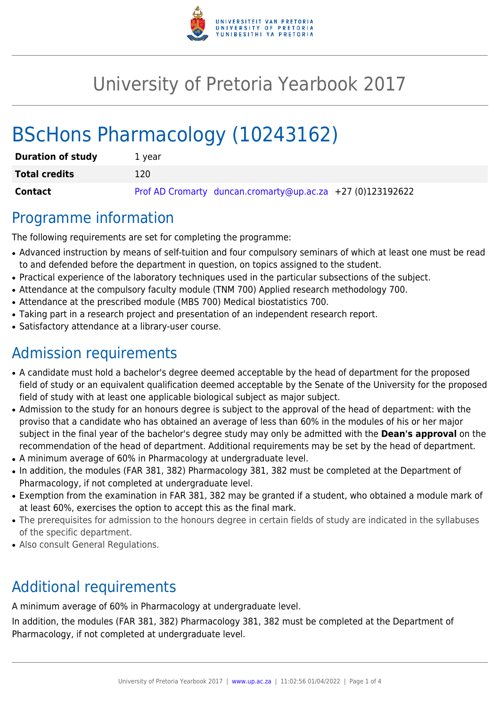

# University of Pretoria Yearbook 2017

# BScHons Pharmacology (10243162)

| <b>Duration of study</b> | 1 vear                                                     |
|--------------------------|------------------------------------------------------------|
| <b>Total credits</b>     | 120                                                        |
| Contact                  | Prof AD Cromarty duncan.cromarty@up.ac.za +27 (0)123192622 |

### Programme information

The following requirements are set for completing the programme:

- Advanced instruction by means of self-tuition and four compulsory seminars of which at least one must be read to and defended before the department in question, on topics assigned to the student.
- Practical experience of the laboratory techniques used in the particular subsections of the subject.
- Attendance at the compulsory faculty module (TNM 700) Applied research methodology 700.
- Attendance at the prescribed module (MBS 700) Medical biostatistics 700.
- Taking part in a research project and presentation of an independent research report.
- Satisfactory attendance at a library-user course.

## Admission requirements

- A candidate must hold a bachelor's degree deemed acceptable by the head of department for the proposed field of study or an equivalent qualification deemed acceptable by the Senate of the University for the proposed field of study with at least one applicable biological subject as major subject.
- Admission to the study for an honours degree is subject to the approval of the head of department: with the proviso that a candidate who has obtained an average of less than 60% in the modules of his or her major subject in the final year of the bachelor's degree study may only be admitted with the **Dean's approval** on the recommendation of the head of department. Additional requirements may be set by the head of department.
- A minimum average of 60% in Pharmacology at undergraduate level.
- In addition, the modules (FAR 381, 382) Pharmacology 381, 382 must be completed at the Department of Pharmacology, if not completed at undergraduate level.
- Exemption from the examination in FAR 381, 382 may be granted if a student, who obtained a module mark of at least 60%, exercises the option to accept this as the final mark.
- The prerequisites for admission to the honours degree in certain fields of study are indicated in the syllabuses of the specific department.
- Also consult General Regulations.

## Additional requirements

A minimum average of 60% in Pharmacology at undergraduate level.

In addition, the modules (FAR 381, 382) Pharmacology 381, 382 must be completed at the Department of Pharmacology, if not completed at undergraduate level.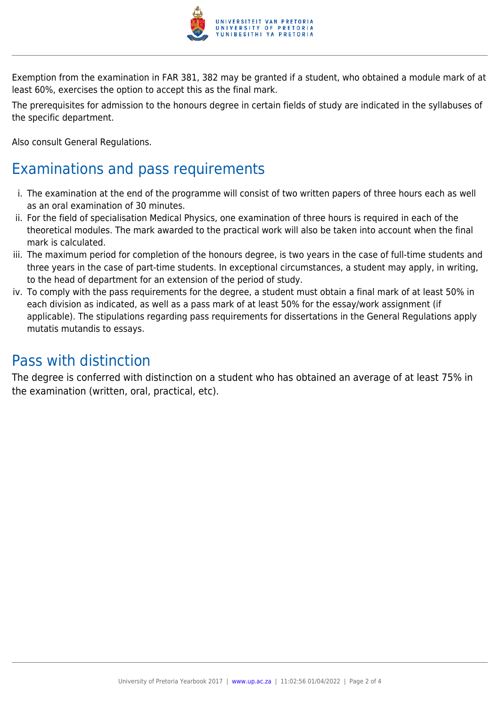

Exemption from the examination in FAR 381, 382 may be granted if a student, who obtained a module mark of at least 60%, exercises the option to accept this as the final mark.

The prerequisites for admission to the honours degree in certain fields of study are indicated in the syllabuses of the specific department.

Also consult General Regulations.

### Examinations and pass requirements

- i. The examination at the end of the programme will consist of two written papers of three hours each as well as an oral examination of 30 minutes.
- ii. For the field of specialisation Medical Physics, one examination of three hours is required in each of the theoretical modules. The mark awarded to the practical work will also be taken into account when the final mark is calculated.
- iii. The maximum period for completion of the honours degree, is two years in the case of full-time students and three years in the case of part-time students. In exceptional circumstances, a student may apply, in writing, to the head of department for an extension of the period of study.
- iv. To comply with the pass requirements for the degree, a student must obtain a final mark of at least 50% in each division as indicated, as well as a pass mark of at least 50% for the essay/work assignment (if applicable). The stipulations regarding pass requirements for dissertations in the General Regulations apply mutatis mutandis to essays.

### Pass with distinction

The degree is conferred with distinction on a student who has obtained an average of at least 75% in the examination (written, oral, practical, etc).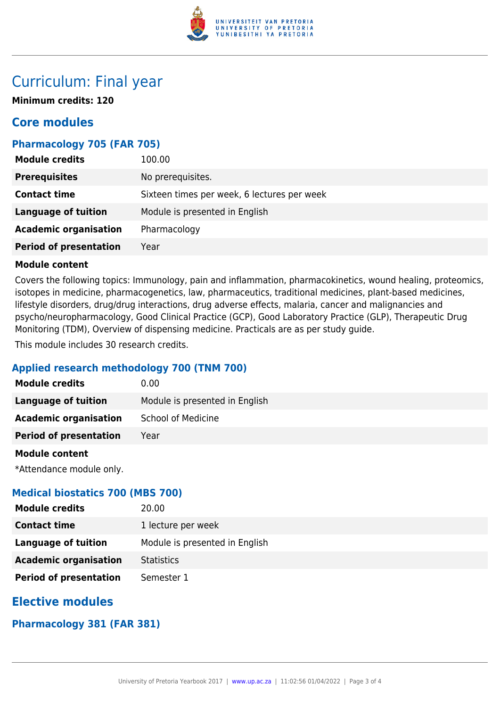

### Curriculum: Final year

**Minimum credits: 120**

### **Core modules**

#### **Pharmacology 705 (FAR 705)**

| <b>Module credits</b>         | 100.00                                      |
|-------------------------------|---------------------------------------------|
| <b>Prerequisites</b>          | No prerequisites.                           |
| <b>Contact time</b>           | Sixteen times per week, 6 lectures per week |
| <b>Language of tuition</b>    | Module is presented in English              |
| <b>Academic organisation</b>  | Pharmacology                                |
| <b>Period of presentation</b> | Year                                        |

#### **Module content**

Covers the following topics: Immunology, pain and inflammation, pharmacokinetics, wound healing, proteomics, isotopes in medicine, pharmacogenetics, law, pharmaceutics, traditional medicines, plant-based medicines, lifestyle disorders, drug/drug interactions, drug adverse effects, malaria, cancer and malignancies and psycho/neuropharmacology, Good Clinical Practice (GCP), Good Laboratory Practice (GLP), Therapeutic Drug Monitoring (TDM), Overview of dispensing medicine. Practicals are as per study guide.

This module includes 30 research credits.

#### **Applied research methodology 700 (TNM 700)**

| <b>Module credits</b>         | 0.00                           |
|-------------------------------|--------------------------------|
| Language of tuition           | Module is presented in English |
| <b>Academic organisation</b>  | <b>School of Medicine</b>      |
| <b>Period of presentation</b> | Year                           |
|                               |                                |

#### **Module content**

\*Attendance module only.

#### **Medical biostatics 700 (MBS 700)**

| <b>Module credits</b>         | 20.00                          |
|-------------------------------|--------------------------------|
| <b>Contact time</b>           | 1 lecture per week             |
| Language of tuition           | Module is presented in English |
| <b>Academic organisation</b>  | <b>Statistics</b>              |
| <b>Period of presentation</b> | Semester 1                     |

### **Elective modules**

#### **Pharmacology 381 (FAR 381)**